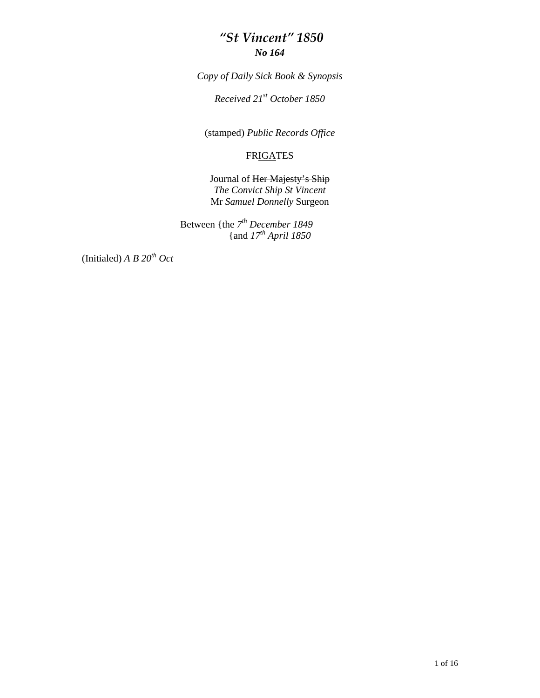#### *"St Vincent" 1850 No 164*

*Copy of Daily Sick Book & Synopsis* 

*Received 21st October 1850* 

(stamped) *Public Records Office* 

#### **FRIGATES**

Journal of Her Majesty's Ship *The Convict Ship St Vincent*  Mr *Samuel Donnelly* Surgeon

Between {the *7th December 1849*  {and *17th April 1850* 

(Initialed)  $A \, B \, 20^{th} \, Oct$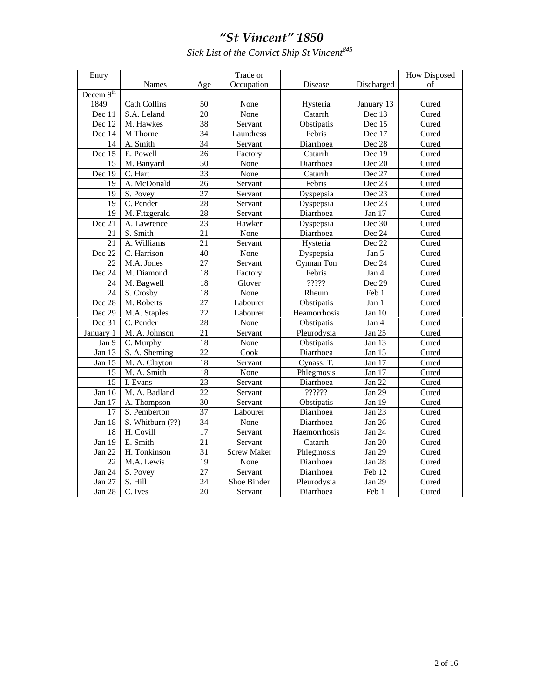Sick List of the Convict Ship St Vincent  $^{845}$ 

| Entry           |                           |                 | Trade or           |              |                             | <b>How Disposed</b>       |  |
|-----------------|---------------------------|-----------------|--------------------|--------------|-----------------------------|---------------------------|--|
|                 | <b>Names</b>              | Age             | Occupation         | Disease      | Discharged                  | οf                        |  |
| Decem $9th$     |                           |                 |                    |              |                             |                           |  |
| 1849            | <b>Cath Collins</b>       | 50              | None               | Hysteria     | January 13                  | Cured                     |  |
| Dec 11          | S.A. Leland               | 20              | None               | Catarrh      | Dec 13                      | Cured                     |  |
| Dec 12          | M. Hawkes                 | 38              | Servant            | Obstipatis   | Dec 15                      | Cured                     |  |
| Dec 14          | M Thorne                  | 34              | Laundress          | Febris       | Dec 17                      | Cured                     |  |
| 14              | A. Smith                  | 34              | Servant            | Diarrhoea    | Dec 28                      | Cured                     |  |
| Dec 15          | E. Powell                 | 26              | Factory            | Catarrh      | Dec 19                      | Cured                     |  |
| 15              | M. Banyard                | 50              | None               | Diarrhoea    | Dec 20                      | Cured                     |  |
| Dec 19          | C. Hart                   | 23              | None               | Catarrh      | Dec 27                      | Cured                     |  |
| 19              | A. McDonald               | $\overline{26}$ | Servant            | Febris       | Dec 23                      | Cured                     |  |
| 19              | S. Povey                  | $\overline{27}$ | Servant            | Dyspepsia    | Dec 23                      | Cured                     |  |
| 19              | C. Pender                 | 28              | Servant            | Dyspepsia    | Dec 23                      | Cured                     |  |
| $\overline{19}$ | M. Fitzgerald             | $\overline{28}$ | Servant            | Diarrhoea    | Jan 17                      | Cured                     |  |
| Dec 21          | A. Lawrence               | 23              | Hawker             | Dyspepsia    | Dec 30                      | Cured                     |  |
| 21              | S. Smith                  | $\overline{21}$ | None               | Diarrhoea    | Dec 24                      | Cured                     |  |
| $\overline{21}$ | A. Williams               | $\overline{21}$ | Servant            | Hysteria     | Dec 22                      | Cured                     |  |
| Dec 22          | $\overline{C}$ . Harrison | 40              | None               | Dyspepsia    | Jan 5                       | $\overline{\text{C}$ ured |  |
| 22              | M.A. Jones                | $\overline{27}$ | Servant            | Cynnan Ton   | Dec $24$                    | Cured                     |  |
| Dec 24          | M. Diamond                | 18              | Factory            | Febris       | Jan 4                       | Cured                     |  |
| 24              | M. Bagwell                | 18              | Glover             | ?????        | Dec 29                      | Cured                     |  |
| 24              | S. Crosby                 | 18              | None               | Rheum        | $\text{Feb}$ $\overline{1}$ | Cured                     |  |
| Dec 28          | M. Roberts                | $\overline{27}$ | Labourer           | Obstipatis   | Jan 1                       | Cured                     |  |
| Dec 29          | M.A. Staples              | $\overline{22}$ | Labourer           | Heamorrhosis | Jan 10                      | Cured                     |  |
| Dec 31          | C. Pender                 | $\overline{28}$ | None               | Obstipatis   | Jan 4                       | Cured                     |  |
| January 1       | M. A. Johnson             | $\overline{21}$ | Servant            | Pleurodysia  | Jan 25                      | Cured                     |  |
| Jan 9           | C. Murphy                 | $\overline{18}$ | None               | Obstipatis   | Jan 13                      | Cured                     |  |
| Jan 13          | S. A. Sheming             | $\overline{22}$ | Cook               | Diarrhoea    | Jan $15$                    | Cured                     |  |
| Jan 15          | M. A. Clayton             | 18              | Servant            | Cynass. T.   | Jan 17                      | Cured                     |  |
| 15              | M. A. Smith               | 18              | None               | Phlegmosis   | Jan 17                      | Cured                     |  |
| 15              | I. Evans                  | $\overline{23}$ | Servant            | Diarrhoea    | Jan 22                      | Cured                     |  |
| Jan 16          | M. A. Badland             | $\overline{22}$ | Servant            | ??????       | Jan 29                      | Cured                     |  |
| Jan 17          | A. Thompson               | 30              | Servant            | Obstipatis   | Jan 19                      | Cured                     |  |
| 17              | S. Pemberton              | 37              | Labourer           | Diarrhoea    | Jan 23                      | Cured                     |  |
| Jan 18          | S. Whitburn (??)          | 34              | None               | Diarrhoea    | Jan 26                      | Cured                     |  |
| 18              | H. Covill                 | $\overline{17}$ | Servant            | Haemorrhosis | Jan 24                      | Cured                     |  |
| <b>Jan 19</b>   | E. Smith                  | $\overline{21}$ | Servant            | Catarrh      | Jan 20                      | Cured                     |  |
| Jan 22          | H. Tonkinson              | 31              | <b>Screw Maker</b> | Phlegmosis   | Jan 29                      | Cured                     |  |
| $\overline{22}$ | M.A. Lewis                | $\overline{19}$ | None               | Diarrhoea    | Jan 28                      | Cured                     |  |
| Jan $24$        | S. Povey                  | $\overline{27}$ | Servant            | Diarrhoea    | Feb 12                      | Cured                     |  |
| Jan 27          | S. Hill                   | 24              | Shoe Binder        | Pleurodysia  | Jan 29                      | Cured                     |  |
| <b>Jan 28</b>   | C. Ives                   | $\overline{20}$ | Servant            | Diarrhoea    | Feb 1                       | Cured                     |  |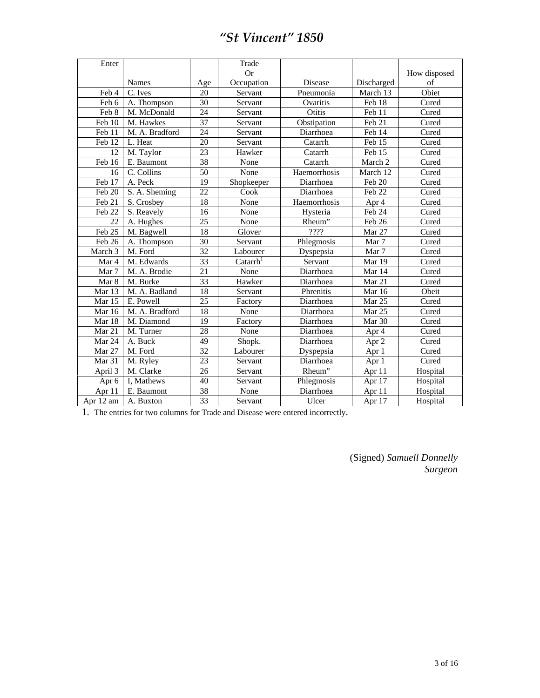| Enter     | Trade          |                 |                    |                |                   |              |
|-----------|----------------|-----------------|--------------------|----------------|-------------------|--------------|
|           |                |                 | <b>Or</b>          |                |                   | How disposed |
|           | Names          | Age             | Occupation         | <b>Disease</b> | Discharged        | of           |
| Feb 4     | C. Ives        | 20              | Servant            | Pneumonia      | March 13          | Obiet        |
| Feb 6     | A. Thompson    | 30              | Servant            | Ovaritis       | Feb 18            | Cured        |
| Feb 8     | M. McDonald    | 24              | Servant            | Otitis         | Feb 11            | Cured        |
| Feb 10    | M. Hawkes      | 37              | Servant            | Obstipation    | Feb 21            | Cured        |
| Feb 11    | M. A. Bradford | 24              | Servant            | Diarrhoea      | Feb 14            | Cured        |
| Feb 12    | L. Heat        | 20              | Servant            | Catarrh        | Feb 15            | Cured        |
| 12        | M. Taylor      | 23              | Hawker             | Catarrh        | Feb 15            | Cured        |
| Feb 16    | E. Baumont     | 38              | None               | Catarrh        | March 2           | Cured        |
| 16        | C. Collins     | $\overline{50}$ | None               | Haemorrhosis   | March 12          | Cured        |
| Feb 17    | A. Peck        | 19              | Shopkeeper         | Diarrhoea      | Feb 20            | Cured        |
| Feb 20    | S. A. Sheming  | 22              | Cook               | Diarrhoea      | Feb 22            | Cured        |
| Feb 21    | S. Crosbey     | 18              | None               | Haemorrhosis   | Apr 4             | Cured        |
| Feb 22    | S. Reavely     | 16              | None               | Hysteria       | Feb 24            | Cured        |
| 22        | A. Hughes      | 25              | None               | Rheum"         | Feb 26            | Cured        |
| Feb 25    | M. Bagwell     | 18              | Glover             | ????           | Mar 27            | Cured        |
| Feb 26    | A. Thompson    | 30              | Servant            | Phlegmosis     | Mar 7             | Cured        |
| March 3   | M. Ford        | 32              | Labourer           | Dyspepsia      | Mar 7             | Cured        |
| Mar 4     | M. Edwards     | $\overline{33}$ | $\text{Catarr}h^1$ | Servant        | Mar 19            | Cured        |
| Mar 7     | M. A. Brodie   | $\overline{21}$ | None               | Diarrhoea      | Mar 14            | Cured        |
| Mar 8     | M. Burke       | 33              | Hawker             | Diarrhoea      | Mar 21            | Cured        |
| Mar 13    | M. A. Badland  | 18              | Servant            | Phrenitis      | Mar 16            | Obeit        |
| Mar 15    | E. Powell      | 25              | Factory            | Diarrhoea      | Mar 25            | Cured        |
| Mar 16    | M. A. Bradford | 18              | None               | Diarrhoea      | Mar <sub>25</sub> | Cured        |
| Mar 18    | M. Diamond     | 19              | Factory            | Diarrhoea      | Mar 30            | Cured        |
| Mar 21    | M. Turner      | 28              | None               | Diarrhoea      | Apr 4             | Cured        |
| Mar 24    | A. Buck        | 49              | Shopk.             | Diarrhoea      | Apr $2$           | Cured        |
| Mar 27    | M. Ford        | 32              | Labourer           | Dyspepsia      | Apr 1             | Cured        |
| Mar 31    | M. Ryley       | 23              | Servant            | Diarrhoea      | Apr 1             | Cured        |
| April 3   | M. Clarke      | 26              | Servant            | Rheum"         | Apr 11            | Hospital     |
| Apr 6     | I, Mathews     | 40              | Servant            | Phlegmosis     | Apr 17            | Hospital     |
| Apr 11    | E. Baumont     | 38              | None               | Diarrhoea      | Apr 11            | Hospital     |
| Apr 12 am | A. Buxton      | 33              | Servant            | Ulcer          | Apr 17            | Hospital     |

1. The entries for two columns for Trade and Disease were entered incorrectly.

(Signed) *Samuell Donnelly Surgeon*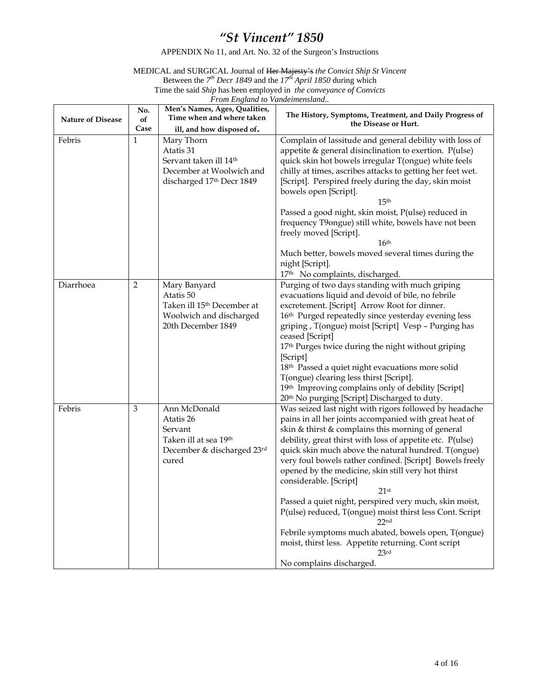APPENDIX No 11, and Art. No. 32 of the Surgeon's Instructions

#### MEDICAL and SURGICAL Journal of Her Majesty's *the Convict Ship St Vincent*  Between the *7th Decr 1849* and the *17th April 1850* during which Time the said *Ship* has been employed in *the conveyance of Convicts*

*From England to Vandeimensland..* 

| <b>Nature of Disease</b> | No.<br>of            | Men's Names, Ages, Qualities,<br>Time when and where taken                                                                                          | The History, Symptoms, Treatment, and Daily Progress of<br>the Disease or Hurt.                                                                                                                                                                                                                                                                                                                                                                                                                                                                                                                                                                                                                                                                          |  |  |  |  |
|--------------------------|----------------------|-----------------------------------------------------------------------------------------------------------------------------------------------------|----------------------------------------------------------------------------------------------------------------------------------------------------------------------------------------------------------------------------------------------------------------------------------------------------------------------------------------------------------------------------------------------------------------------------------------------------------------------------------------------------------------------------------------------------------------------------------------------------------------------------------------------------------------------------------------------------------------------------------------------------------|--|--|--|--|
| Febris                   | Case<br>$\mathbf{1}$ | ill, and how disposed of.<br>Mary Thorn<br>Atatis 31<br>Servant taken ill 14 <sup>th</sup><br>December at Woolwich and<br>discharged 17th Decr 1849 | Complain of lassitude and general debility with loss of<br>appetite & general disinclination to exertion. P(ulse)<br>quick skin hot bowels irregular T(ongue) white feels<br>chilly at times, ascribes attacks to getting her feet wet.<br>[Script]. Perspired freely during the day, skin moist<br>bowels open [Script].<br>15 <sup>th</sup><br>Passed a good night, skin moist, P(ulse) reduced in<br>frequency T9ongue) still white, bowels have not been<br>freely moved [Script].<br>16 <sup>th</sup><br>Much better, bowels moved several times during the<br>night [Script].                                                                                                                                                                      |  |  |  |  |
| Diarrhoea                | 2                    | Mary Banyard<br>Atatis 50<br>Taken ill 15 <sup>th</sup> December at<br>Woolwich and discharged<br>20th December 1849                                | 17 <sup>th</sup> No complaints, discharged.<br>Purging of two days standing with much griping<br>evacuations liquid and devoid of bile, no febrile<br>excretement. [Script] Arrow Root for dinner.<br>16 <sup>th</sup> Purged repeatedly since yesterday evening less<br>griping, T(ongue) moist [Script] Vesp - Purging has<br>ceased [Script]<br>17 <sup>th</sup> Purges twice during the night without griping<br>[Script]<br>18 <sup>th</sup> Passed a quiet night evacuations more solid<br>T(ongue) clearing less thirst [Script].<br>19th Improving complains only of debility [Script]<br>20th No purging [Script] Discharged to duty.                                                                                                           |  |  |  |  |
| Febris                   | 3                    | Ann McDonald<br>Atatis 26<br>Servant<br>Taken ill at sea 19 <sup>th</sup><br>December & discharged 23rd<br>cured                                    | Was seized last night with rigors followed by headache<br>pains in all her joints accompanied with great heat of<br>skin & thirst & complains this morning of general<br>debility, great thirst with loss of appetite etc. P(ulse)<br>quick skin much above the natural hundred. T(ongue)<br>very foul bowels rather confined. [Script] Bowels freely<br>opened by the medicine, skin still very hot thirst<br>considerable. [Script]<br>$21$ st<br>Passed a quiet night, perspired very much, skin moist,<br>P(ulse) reduced, T(ongue) moist thirst less Cont. Script<br>22 <sub>nd</sub><br>Febrile symptoms much abated, bowels open, T(ongue)<br>moist, thirst less. Appetite returning. Cont script<br>23 <sup>rd</sup><br>No complains discharged. |  |  |  |  |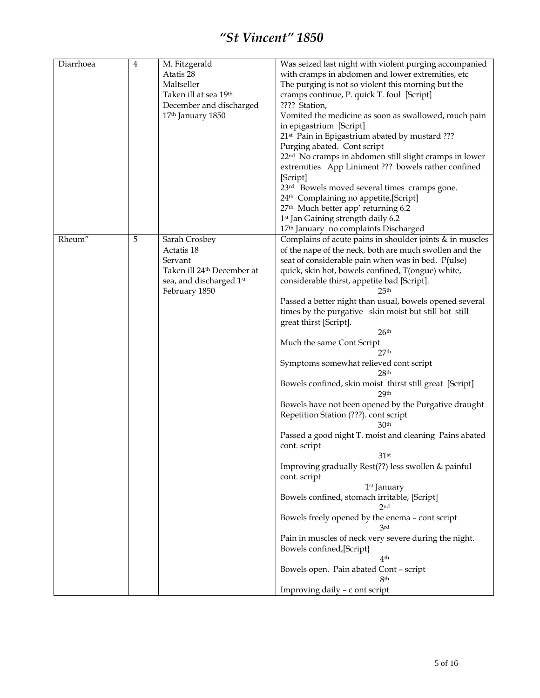| Diarrhoea | 4 | M. Fitzgerald<br>Atatis 28<br>Maltseller<br>Taken ill at sea 19th<br>December and discharged<br>17 <sup>th</sup> January 1850 | Was seized last night with violent purging accompanied<br>with cramps in abdomen and lower extremities, etc<br>The purging is not so violent this morning but the<br>cramps continue, P. quick T. foul [Script]<br>???? Station,<br>Vomited the medicine as soon as swallowed, much pain<br>in epigastrium [Script]<br>21 <sup>st</sup> Pain in Epigastrium abated by mustard ???<br>Purging abated. Cont script<br>22 <sup>nd</sup> No cramps in abdomen still slight cramps in lower<br>extremities App Liniment ??? bowels rather confined<br>[Script]<br>23 <sup>rd</sup> Bowels moved several times cramps gone.<br>24 <sup>th</sup> Complaining no appetite, [Script]<br>27 <sup>th</sup> Much better app' returning 6.2                                                                                                                                                                                                                                                                                                                                                                                                                                                                                                                                                                                 |
|-----------|---|-------------------------------------------------------------------------------------------------------------------------------|----------------------------------------------------------------------------------------------------------------------------------------------------------------------------------------------------------------------------------------------------------------------------------------------------------------------------------------------------------------------------------------------------------------------------------------------------------------------------------------------------------------------------------------------------------------------------------------------------------------------------------------------------------------------------------------------------------------------------------------------------------------------------------------------------------------------------------------------------------------------------------------------------------------------------------------------------------------------------------------------------------------------------------------------------------------------------------------------------------------------------------------------------------------------------------------------------------------------------------------------------------------------------------------------------------------|
|           |   |                                                                                                                               | 1 <sup>st</sup> Jan Gaining strength daily 6.2<br>17th January no complaints Discharged                                                                                                                                                                                                                                                                                                                                                                                                                                                                                                                                                                                                                                                                                                                                                                                                                                                                                                                                                                                                                                                                                                                                                                                                                        |
| Rheum"    | 5 | Sarah Crosbey<br>Actatis 18<br>Servant<br>Taken ill 24 <sup>th</sup> December at<br>sea, and discharged 1st<br>February 1850  | Complains of acute pains in shoulder joints & in muscles<br>of the nape of the neck, both are much swollen and the<br>seat of considerable pain when was in bed. P(ulse)<br>quick, skin hot, bowels confined, T(ongue) white,<br>considerable thirst, appetite bad [Script].<br>25 <sup>th</sup><br>Passed a better night than usual, bowels opened several<br>times by the purgative skin moist but still hot still<br>great thirst [Script].<br>26 <sup>th</sup><br>Much the same Cont Script<br>27 <sup>th</sup><br>Symptoms somewhat relieved cont script<br>28 <sup>th</sup><br>Bowels confined, skin moist thirst still great [Script]<br>29 <sup>th</sup><br>Bowels have not been opened by the Purgative draught<br>Repetition Station (???). cont script<br>30 <sup>th</sup><br>Passed a good night T. moist and cleaning Pains abated<br>cont. script<br>31 <sup>st</sup><br>Improving gradually Rest(??) less swollen & painful<br>cont. script<br>1 <sup>st</sup> January<br>Bowels confined, stomach irritable, [Script]<br>2nd<br>Bowels freely opened by the enema - cont script<br>3rd<br>Pain in muscles of neck very severe during the night.<br>Bowels confined, [Script]<br>4 <sup>th</sup><br>Bowels open. Pain abated Cont - script<br>8 <sub>th</sub><br>Improving daily - c ont script |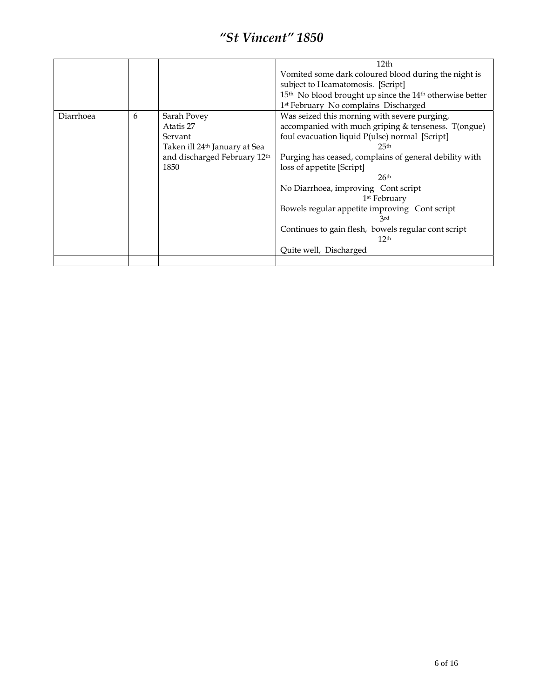|           |   |                                           | 12 <sub>th</sub>                                                                 |
|-----------|---|-------------------------------------------|----------------------------------------------------------------------------------|
|           |   |                                           | Vomited some dark coloured blood during the night is                             |
|           |   |                                           | subject to Heamatomosis. [Script]                                                |
|           |   |                                           | 15 <sup>th</sup> No blood brought up since the 14 <sup>th</sup> otherwise better |
|           |   |                                           | 1 <sup>st</sup> February No complains Discharged                                 |
| Diarrhoea | 6 | Sarah Povey                               | Was seized this morning with severe purging,                                     |
|           |   | Atatis 27                                 | accompanied with much griping & tenseness. T(ongue)                              |
|           |   | Servant                                   | foul evacuation liquid P(ulse) normal [Script]                                   |
|           |   | Taken ill 24 <sup>th</sup> January at Sea | 25 <sup>th</sup>                                                                 |
|           |   | and discharged February 12th              | Purging has ceased, complains of general debility with                           |
|           |   | 1850                                      | loss of appetite [Script]                                                        |
|           |   |                                           | 26 <sup>th</sup>                                                                 |
|           |   |                                           | No Diarrhoea, improving Cont script                                              |
|           |   |                                           | 1 <sup>st</sup> February                                                         |
|           |   |                                           | Bowels regular appetite improving Cont script                                    |
|           |   |                                           | 3rd                                                                              |
|           |   |                                           | Continues to gain flesh, bowels regular cont script                              |
|           |   |                                           | 12 <sup>th</sup>                                                                 |
|           |   |                                           | Quite well, Discharged                                                           |
|           |   |                                           |                                                                                  |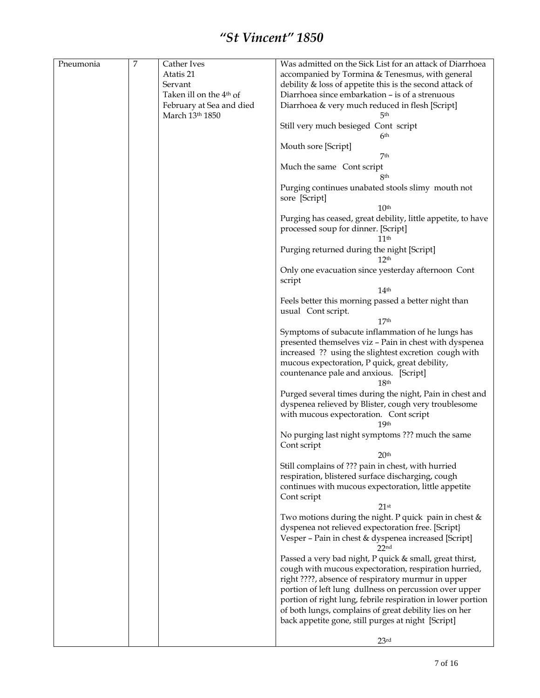| Pneumonia | $\boldsymbol{7}$ | Cather Ives                         | Was admitted on the Sick List for an attack of Diarrhoea                                                    |
|-----------|------------------|-------------------------------------|-------------------------------------------------------------------------------------------------------------|
|           |                  | Atatis 21                           | accompanied by Tormina & Tenesmus, with general                                                             |
|           |                  | Servant                             | debility & loss of appetite this is the second attack of                                                    |
|           |                  | Taken ill on the 4 <sup>th</sup> of | Diarrhoea since embarkation - is of a strenuous                                                             |
|           |                  | February at Sea and died            | Diarrhoea & very much reduced in flesh [Script]                                                             |
|           |                  | March 13th 1850                     | 5th                                                                                                         |
|           |                  |                                     | Still very much besieged Cont script<br>6th                                                                 |
|           |                  |                                     | Mouth sore [Script]                                                                                         |
|           |                  |                                     | 7 <sup>th</sup>                                                                                             |
|           |                  |                                     | Much the same Cont script<br>8th                                                                            |
|           |                  |                                     | Purging continues unabated stools slimy mouth not<br>sore [Script]                                          |
|           |                  |                                     | 10 <sup>th</sup>                                                                                            |
|           |                  |                                     | Purging has ceased, great debility, little appetite, to have<br>processed soup for dinner. [Script]<br>11th |
|           |                  |                                     | Purging returned during the night [Script]<br>12 <sup>th</sup>                                              |
|           |                  |                                     | Only one evacuation since yesterday afternoon Cont<br>script                                                |
|           |                  |                                     | 14 <sup>th</sup>                                                                                            |
|           |                  |                                     | Feels better this morning passed a better night than                                                        |
|           |                  |                                     | usual Cont script.                                                                                          |
|           |                  |                                     | 17 <sup>th</sup>                                                                                            |
|           |                  |                                     | Symptoms of subacute inflammation of he lungs has                                                           |
|           |                  |                                     | presented themselves viz - Pain in chest with dyspenea                                                      |
|           |                  |                                     | increased ?? using the slightest excretion cough with                                                       |
|           |                  |                                     | mucous expectoration, P quick, great debility,                                                              |
|           |                  |                                     | countenance pale and anxious. [Script]                                                                      |
|           |                  |                                     | 18 <sup>th</sup>                                                                                            |
|           |                  |                                     | Purged several times during the night, Pain in chest and                                                    |
|           |                  |                                     | dyspenea relieved by Blister, cough very troublesome                                                        |
|           |                  |                                     | with mucous expectoration. Cont script                                                                      |
|           |                  |                                     | 19 <sup>th</sup><br>No purging last night symptoms ??? much the same                                        |
|           |                  |                                     | Cont script                                                                                                 |
|           |                  |                                     | 20 <sup>th</sup>                                                                                            |
|           |                  |                                     | Still complains of ??? pain in chest, with hurried                                                          |
|           |                  |                                     | respiration, blistered surface discharging, cough                                                           |
|           |                  |                                     | continues with mucous expectoration, little appetite                                                        |
|           |                  |                                     | Cont script                                                                                                 |
|           |                  |                                     | 21 <sup>st</sup>                                                                                            |
|           |                  |                                     | Two motions during the night. P quick pain in chest &                                                       |
|           |                  |                                     | dyspenea not relieved expectoration free. [Script]                                                          |
|           |                  |                                     | Vesper - Pain in chest & dyspenea increased [Script]<br>22 <sub>nd</sub>                                    |
|           |                  |                                     | Passed a very bad night, P quick & small, great thirst,                                                     |
|           |                  |                                     | cough with mucous expectoration, respiration hurried,                                                       |
|           |                  |                                     | right ????, absence of respiratory murmur in upper                                                          |
|           |                  |                                     | portion of left lung dullness on percussion over upper                                                      |
|           |                  |                                     | portion of right lung, febrile respiration in lower portion                                                 |
|           |                  |                                     | of both lungs, complains of great debility lies on her                                                      |
|           |                  |                                     | back appetite gone, still purges at night [Script]                                                          |
|           |                  |                                     |                                                                                                             |
|           |                  |                                     | 23 <sup>rd</sup>                                                                                            |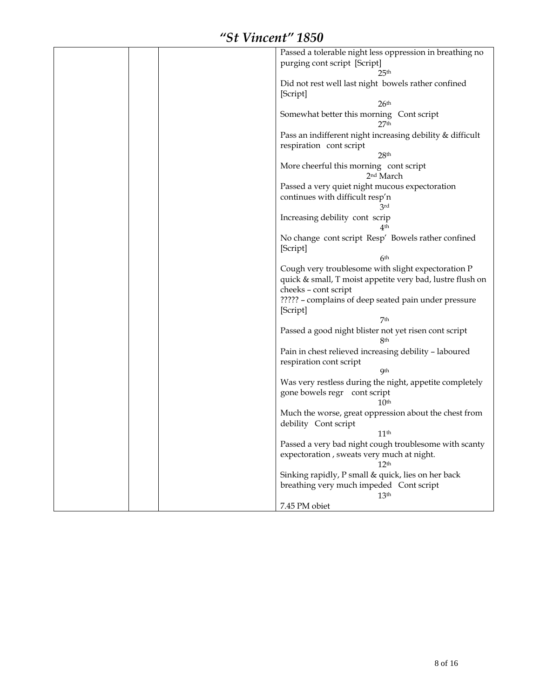| Passed a tolerable night less oppression in breathing no  |
|-----------------------------------------------------------|
| purging cont script [Script]                              |
| 25 <sup>th</sup>                                          |
|                                                           |
| Did not rest well last night bowels rather confined       |
| [Script]                                                  |
| 26 <sup>th</sup>                                          |
| Somewhat better this morning Cont script                  |
| 27 <sup>th</sup>                                          |
| Pass an indifferent night increasing debility & difficult |
| respiration cont script                                   |
|                                                           |
| 28 <sup>th</sup>                                          |
| More cheerful this morning cont script                    |
| 2 <sup>nd</sup> March                                     |
| Passed a very quiet night mucous expectoration            |
| continues with difficult resp'n                           |
| 3rd                                                       |
| Increasing debility cont scrip                            |
| 4th                                                       |
|                                                           |
| No change cont script Resp' Bowels rather confined        |
| [Script]                                                  |
| 6 <sup>th</sup>                                           |
| Cough very troublesome with slight expectoration P        |
| quick & small, T moist appetite very bad, lustre flush on |
| cheeks - cont script                                      |
|                                                           |
| ????? - complains of deep seated pain under pressure      |
| [Script]                                                  |
| 7 <sup>th</sup>                                           |
| Passed a good night blister not yet risen cont script     |
| 8th                                                       |
| Pain in chest relieved increasing debility - laboured     |
| respiration cont script                                   |
| <b>Qth</b>                                                |
|                                                           |
| Was very restless during the night, appetite completely   |
| gone bowels regr cont script                              |
| 10 <sup>th</sup>                                          |
| Much the worse, great oppression about the chest from     |
| debility Cont script                                      |
| 11 <sup>th</sup>                                          |
| Passed a very bad night cough troublesome with scanty     |
| expectoration, sweats very much at night.                 |
|                                                           |
| 12 <sup>th</sup>                                          |
| Sinking rapidly, P small & quick, lies on her back        |
| breathing very much impeded Cont script                   |
| 13 <sup>th</sup>                                          |
| 7.45 PM obiet                                             |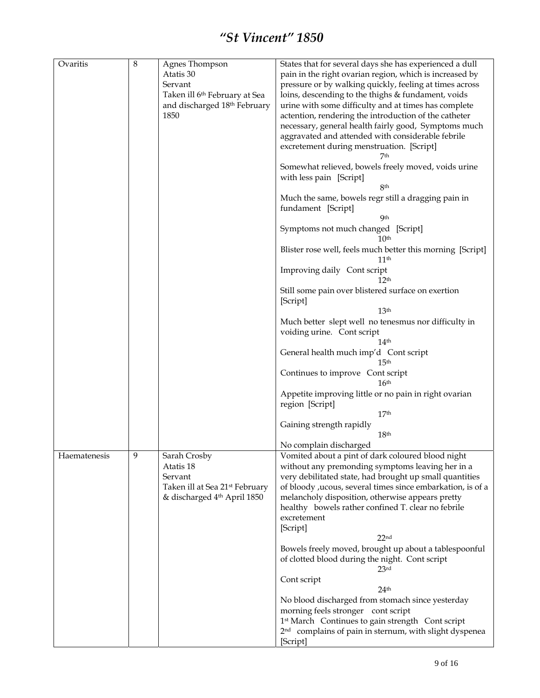| Ovaritis     | 8 | Agnes Thompson                             | States that for several days she has experienced a dull            |
|--------------|---|--------------------------------------------|--------------------------------------------------------------------|
|              |   | Atatis 30                                  | pain in the right ovarian region, which is increased by            |
|              |   | Servant                                    | pressure or by walking quickly, feeling at times across            |
|              |   |                                            |                                                                    |
|              |   | Taken ill 6 <sup>th</sup> February at Sea  | loins, descending to the thighs & fundament, voids                 |
|              |   | and discharged 18 <sup>th</sup> February   | urine with some difficulty and at times has complete               |
|              |   | 1850                                       | actention, rendering the introduction of the catheter              |
|              |   |                                            |                                                                    |
|              |   |                                            | necessary, general health fairly good, Symptoms much               |
|              |   |                                            | aggravated and attended with considerable febrile                  |
|              |   |                                            | excretement during menstruation. [Script]                          |
|              |   |                                            | 7th                                                                |
|              |   |                                            | Somewhat relieved, bowels freely moved, voids urine                |
|              |   |                                            |                                                                    |
|              |   |                                            | with less pain [Script]                                            |
|              |   |                                            | 8th                                                                |
|              |   |                                            | Much the same, bowels regr still a dragging pain in                |
|              |   |                                            | fundament [Script]                                                 |
|              |   |                                            | <b>Qth</b>                                                         |
|              |   |                                            |                                                                    |
|              |   |                                            | Symptoms not much changed [Script]                                 |
|              |   |                                            | 10 <sup>th</sup>                                                   |
|              |   |                                            | Blister rose well, feels much better this morning [Script]         |
|              |   |                                            | 11 <sup>th</sup>                                                   |
|              |   |                                            | Improving daily Cont script<br>12 <sup>th</sup>                    |
|              |   |                                            |                                                                    |
|              |   |                                            | Still some pain over blistered surface on exertion                 |
|              |   |                                            | [Script]                                                           |
|              |   |                                            | 13 <sup>th</sup>                                                   |
|              |   |                                            | Much better slept well no tenesmus nor difficulty in               |
|              |   |                                            | voiding urine. Cont script                                         |
|              |   |                                            | 14 <sup>th</sup>                                                   |
|              |   |                                            |                                                                    |
|              |   |                                            | General health much imp'd Cont script                              |
|              |   |                                            | 15 <sup>th</sup>                                                   |
|              |   |                                            | Continues to improve Cont script                                   |
|              |   |                                            | 16 <sup>th</sup>                                                   |
|              |   |                                            | Appetite improving little or no pain in right ovarian              |
|              |   |                                            | region [Script]                                                    |
|              |   |                                            | 17 <sup>th</sup>                                                   |
|              |   |                                            | Gaining strength rapidly                                           |
|              |   |                                            | 18 <sup>th</sup>                                                   |
|              |   |                                            |                                                                    |
|              |   |                                            | No complain discharged                                             |
| Haematenesis | 9 | Sarah Crosby                               | Vomited about a pint of dark coloured blood night                  |
|              |   | Atatis 18                                  | without any premonding symptoms leaving her in a                   |
|              |   | Servant                                    | very debilitated state, had brought up small quantities            |
|              |   | Taken ill at Sea 21 <sup>st</sup> February | of bloody , ucous, several times since embarkation, is of a        |
|              |   |                                            |                                                                    |
|              |   | & discharged 4th April 1850                | melancholy disposition, otherwise appears pretty                   |
|              |   |                                            | healthy bowels rather confined T. clear no febrile                 |
|              |   |                                            | excretement                                                        |
|              |   |                                            | [Script]                                                           |
|              |   |                                            | 22 <sub>nd</sub>                                                   |
|              |   |                                            |                                                                    |
|              |   |                                            | Bowels freely moved, brought up about a tablespoonful              |
|              |   |                                            | of clotted blood during the night. Cont script                     |
|              |   |                                            | $23$ rd                                                            |
|              |   |                                            | Cont script                                                        |
|              |   |                                            | 24 <sup>th</sup>                                                   |
|              |   |                                            | No blood discharged from stomach since yesterday                   |
|              |   |                                            | morning feels stronger cont script                                 |
|              |   |                                            | 1st March Continues to gain strength Cont script                   |
|              |   |                                            | 2 <sup>nd</sup> complains of pain in sternum, with slight dyspenea |
|              |   |                                            | [Script]                                                           |
|              |   |                                            |                                                                    |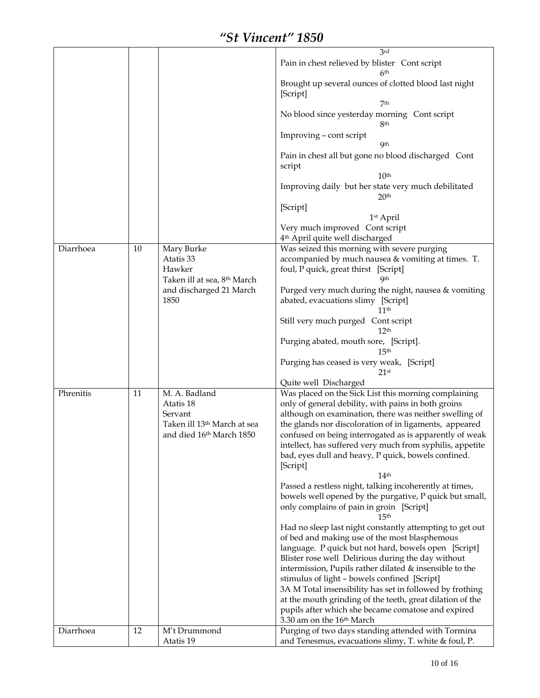|           |    |                                         | 3rd                                                       |
|-----------|----|-----------------------------------------|-----------------------------------------------------------|
|           |    |                                         | Pain in chest relieved by blister Cont script             |
|           |    |                                         | 6 <sup>th</sup>                                           |
|           |    |                                         | Brought up several ounces of clotted blood last night     |
|           |    |                                         | [Script]                                                  |
|           |    |                                         | 7 <sup>th</sup>                                           |
|           |    |                                         | No blood since yesterday morning Cont script              |
|           |    |                                         | 8 <sup>th</sup>                                           |
|           |    |                                         | Improving - cont script                                   |
|           |    |                                         | <b>9th</b>                                                |
|           |    |                                         | Pain in chest all but gone no blood discharged Cont       |
|           |    |                                         | script                                                    |
|           |    |                                         | 10 <sup>th</sup>                                          |
|           |    |                                         | Improving daily but her state very much debilitated       |
|           |    |                                         | 20 <sup>th</sup>                                          |
|           |    |                                         |                                                           |
|           |    |                                         | [Script]                                                  |
|           |    |                                         | 1st April                                                 |
|           |    |                                         | Very much improved Cont script                            |
|           |    |                                         | 4 <sup>th</sup> April quite well discharged               |
| Diarrhoea | 10 | Mary Burke                              | Was seized this morning with severe purging               |
|           |    | Atatis 33                               | accompanied by much nausea & vomiting at times. T.        |
|           |    | Hawker                                  | foul, P quick, great thirst [Script]                      |
|           |    | Taken ill at sea, 8 <sup>th</sup> March | Qth                                                       |
|           |    | and discharged 21 March                 | Purged very much during the night, nausea & vomiting      |
|           |    | 1850                                    | abated, evacuations slimy [Script]                        |
|           |    |                                         | 11 <sup>th</sup>                                          |
|           |    |                                         | Still very much purged Cont script                        |
|           |    |                                         | 12 <sup>th</sup>                                          |
|           |    |                                         | Purging abated, mouth sore, [Script].                     |
|           |    |                                         | 15 <sup>th</sup>                                          |
|           |    |                                         | Purging has ceased is very weak, [Script]                 |
|           |    |                                         | $21$ st                                                   |
|           |    |                                         | Quite well Discharged                                     |
| Phrenitis | 11 | M. A. Badland                           | Was placed on the Sick List this morning complaining      |
|           |    | Atatis 18                               | only of general debility, with pains in both groins       |
|           |    | Servant                                 | although on examination, there was neither swelling of    |
|           |    | Taken ill 13 <sup>th</sup> March at sea | the glands nor discoloration of in ligaments, appeared    |
|           |    | and died 16th March 1850                | confused on being interrogated as is apparently of weak   |
|           |    |                                         | intellect, has suffered very much from syphilis, appetite |
|           |    |                                         | bad, eyes dull and heavy, P quick, bowels confined.       |
|           |    |                                         | [Script]                                                  |
|           |    |                                         | 14 <sup>th</sup>                                          |
|           |    |                                         | Passed a restless night, talking incoherently at times,   |
|           |    |                                         | bowels well opened by the purgative, P quick but small,   |
|           |    |                                         | only complains of pain in groin [Script]                  |
|           |    |                                         | 15 <sup>th</sup>                                          |
|           |    |                                         | Had no sleep last night constantly attempting to get out  |
|           |    |                                         | of bed and making use of the most blasphemous             |
|           |    |                                         | language. P quick but not hard, bowels open [Script]      |
|           |    |                                         | Blister rose well Delirious during the day without        |
|           |    |                                         | intermission, Pupils rather dilated & insensible to the   |
|           |    |                                         | stimulus of light - bowels confined [Script]              |
|           |    |                                         | 3A M Total insensibility has set in followed by frothing  |
|           |    |                                         |                                                           |
|           |    |                                         | at the mouth grinding of the teeth, great dilation of the |
|           |    |                                         | pupils after which she became comatose and expired        |
|           |    |                                         | 3.30 am on the 16 <sup>th</sup> March                     |
| Diarrhoea | 12 | M't Drummond<br>Atatis 19               | Purging of two days standing attended with Tormina        |
|           |    |                                         | and Tenesmus, evacuations slimy, T. white & foul, P.      |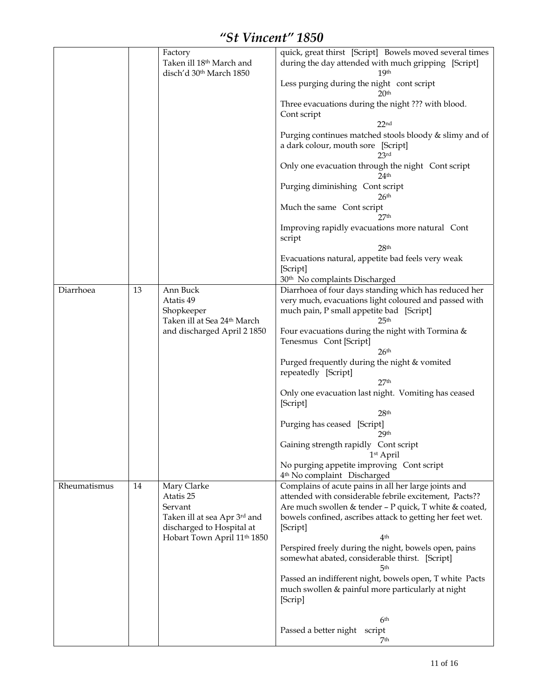|              |    | Factory<br>Taken ill 18 <sup>th</sup> March and<br>disch'd 30th March 1850                                                                  | quick, great thirst [Script] Bowels moved several times<br>during the day attended with much gripping [Script]<br>19th<br>Less purging during the night cont script<br>2Օth<br>Three evacuations during the night ??? with blood.<br>Cont script<br>22 <sub>nd</sub><br>Purging continues matched stools bloody & slimy and of<br>a dark colour, mouth sore [Script]<br>23rd<br>Only one evacuation through the night Cont script<br>24 <sup>th</sup><br>Purging diminishing Cont script<br>26 <sup>th</sup><br>Much the same Cont script<br>27th<br>Improving rapidly evacuations more natural Cont<br>script<br>28 <sup>th</sup><br>Evacuations natural, appetite bad feels very weak<br>[Script]             |
|--------------|----|---------------------------------------------------------------------------------------------------------------------------------------------|-----------------------------------------------------------------------------------------------------------------------------------------------------------------------------------------------------------------------------------------------------------------------------------------------------------------------------------------------------------------------------------------------------------------------------------------------------------------------------------------------------------------------------------------------------------------------------------------------------------------------------------------------------------------------------------------------------------------|
| Diarrhoea    | 13 | Ann Buck<br>Atatis 49<br>Shopkeeper<br>Taken ill at Sea 24 <sup>th</sup> March<br>and discharged April 2 1850                               | 30 <sup>th</sup> No complaints Discharged<br>Diarrhoea of four days standing which has reduced her<br>very much, evacuations light coloured and passed with<br>much pain, P small appetite bad [Script]<br>25 <sup>th</sup><br>Four evacuations during the night with Tormina &<br>Tenesmus Cont [Script]<br>26 <sup>th</sup><br>Purged frequently during the night & vomited<br>repeatedly [Script]<br>27 <sup>th</sup><br>Only one evacuation last night. Vomiting has ceased<br>[Script]<br>28 <sup>th</sup><br>Purging has ceased [Script]<br>29 <sup>th</sup><br>Gaining strength rapidly Cont script<br>1st April<br>No purging appetite improving Cont script<br>4 <sup>th</sup> No complaint Discharged |
| Rheumatismus | 14 | Mary Clarke<br>Atatis 25<br>Servant<br>Taken ill at sea Apr 3rd and<br>discharged to Hospital at<br>Hobart Town April 11 <sup>th</sup> 1850 | Complains of acute pains in all her large joints and<br>attended with considerable febrile excitement, Pacts??<br>Are much swollen & tender - P quick, T white & coated,<br>bowels confined, ascribes attack to getting her feet wet.<br>[Script]<br>4th<br>Perspired freely during the night, bowels open, pains<br>somewhat abated, considerable thirst. [Script]<br>5 <sup>th</sup><br>Passed an indifferent night, bowels open, T white Pacts<br>much swollen & painful more particularly at night<br>[Scrip]<br>6 <sup>th</sup><br>Passed a better night<br>script<br>7th                                                                                                                                  |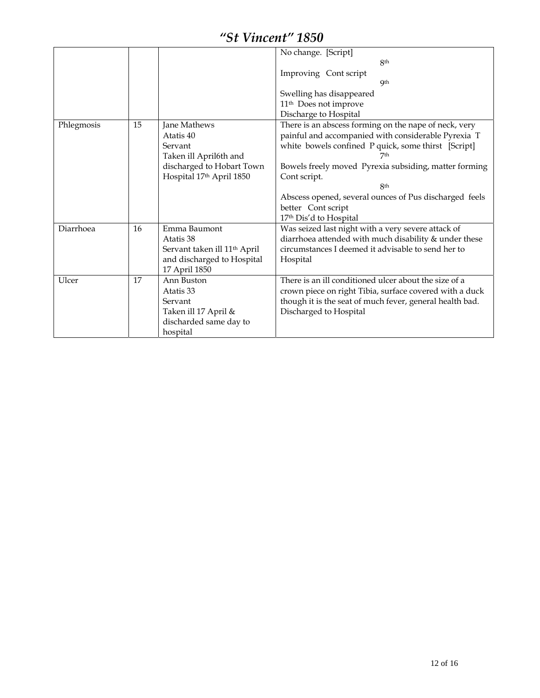|            |    |                                                                                                                         | No change. [Script]<br>8 <sup>th</sup><br>Improving Cont script<br>Qth<br>Swelling has disappeared<br>11 <sup>th</sup> Does not improve                                                                                                                                                                                                                                                              |
|------------|----|-------------------------------------------------------------------------------------------------------------------------|------------------------------------------------------------------------------------------------------------------------------------------------------------------------------------------------------------------------------------------------------------------------------------------------------------------------------------------------------------------------------------------------------|
| Phlegmosis | 15 | Jane Mathews<br>Atatis 40<br>Servant<br>Taken ill April6th and<br>discharged to Hobart Town<br>Hospital 17th April 1850 | Discharge to Hospital<br>There is an abscess forming on the nape of neck, very<br>painful and accompanied with considerable Pyrexia T<br>white bowels confined P quick, some thirst [Script]<br>7th<br>Bowels freely moved Pyrexia subsiding, matter forming<br>Cont script.<br><b>8th</b><br>Abscess opened, several ounces of Pus discharged feels<br>better Cont script<br>17th Dis'd to Hospital |
| Diarrhoea  | 16 | Emma Baumont<br>Atatis 38<br>Servant taken ill 11 <sup>th</sup> April<br>and discharged to Hospital<br>17 April 1850    | Was seized last night with a very severe attack of<br>diarrhoea attended with much disability & under these<br>circumstances I deemed it advisable to send her to<br>Hospital                                                                                                                                                                                                                        |
| Ulcer      | 17 | Ann Buston<br>Atatis 33<br>Servant<br>Taken ill 17 April &<br>discharded same day to<br>hospital                        | There is an ill conditioned ulcer about the size of a<br>crown piece on right Tibia, surface covered with a duck<br>though it is the seat of much fever, general health bad.<br>Discharged to Hospital                                                                                                                                                                                               |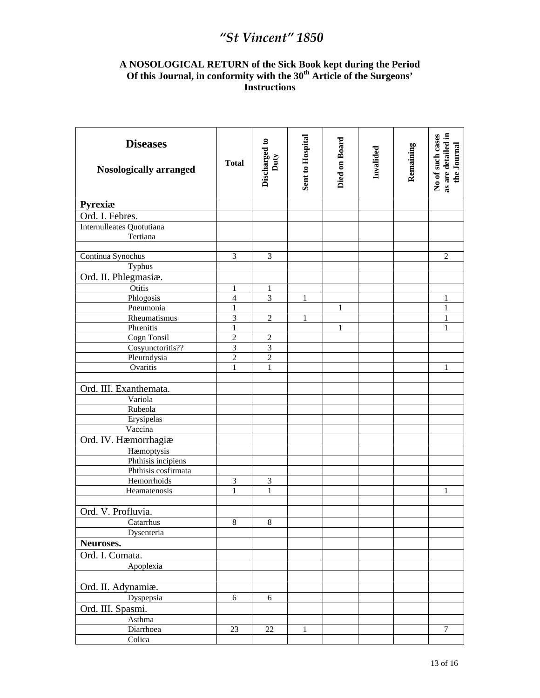#### **A NOSOLOGICAL RETURN of the Sick Book kept during the Period Of this Journal, in conformity with the 30th Article of the Surgeons' Instructions**

| Pyrexiæ<br>Ord. I. Febres.<br>Internulleates Quotutiana<br>Tertiana<br>Continua Synochus<br>3<br>3<br>$\overline{c}$<br>Typhus<br>Ord. II. Phlegmasiæ.<br>Otitis<br>1<br>1<br>Phlogosis<br>3<br>4<br>1<br>1<br>Pneumonia<br>$\mathbf{1}$<br>$\mathbf{1}$<br>$\mathbf{1}$<br>3<br>$\overline{2}$<br>Rheumatismus<br>1<br>1<br>Phrenitis<br>$\mathbf{1}$<br>1<br>1<br>Cogn Tonsil<br>$\overline{c}$<br>$\overline{2}$<br>$\overline{3}$<br>$\overline{3}$<br>Cosyunctoritis??<br>$\overline{c}$<br>$\overline{2}$<br>Pleurodysia<br>Ovaritis<br>$\mathbf{1}$<br>$\mathbf{1}$<br>1<br>Ord. III. Exanthemata.<br>Variola<br>Rubeola<br>Erysipelas<br>Vaccina<br>Ord. IV. Hæmorrhagiæ<br>Hæmoptysis<br>Phthisis incipiens<br>Phthisis cosfirmata<br>$\mathfrak{Z}$<br>Hemorrhoids<br>$\mathfrak{Z}$<br>Heamatenosis<br>$\mathbf{1}$<br>1<br>1<br>Ord. V. Profluvia.<br>Catarrhus<br>8<br>8<br>Dysenteria<br>Neuroses.<br>Ord. I. Comata.<br>Apoplexia<br>Ord. II. Adynamiæ.<br>Dyspepsia<br>6<br>6<br>Ord. III. Spasmi.<br>Asthma<br>$\boldsymbol{7}$<br>Diarrhoea<br>23<br>22<br>$\mathbf{1}$<br>Colica | <b>Diseases</b><br><b>Nosologically arranged</b> | <b>Total</b> | Discharged to<br>Duty | Sent to Hospital | Died on Board | Invalided | Remaining | as are detailed in<br>No of such cases<br>the Journal |
|-----------------------------------------------------------------------------------------------------------------------------------------------------------------------------------------------------------------------------------------------------------------------------------------------------------------------------------------------------------------------------------------------------------------------------------------------------------------------------------------------------------------------------------------------------------------------------------------------------------------------------------------------------------------------------------------------------------------------------------------------------------------------------------------------------------------------------------------------------------------------------------------------------------------------------------------------------------------------------------------------------------------------------------------------------------------------------------------------------|--------------------------------------------------|--------------|-----------------------|------------------|---------------|-----------|-----------|-------------------------------------------------------|
|                                                                                                                                                                                                                                                                                                                                                                                                                                                                                                                                                                                                                                                                                                                                                                                                                                                                                                                                                                                                                                                                                                     |                                                  |              |                       |                  |               |           |           |                                                       |
|                                                                                                                                                                                                                                                                                                                                                                                                                                                                                                                                                                                                                                                                                                                                                                                                                                                                                                                                                                                                                                                                                                     |                                                  |              |                       |                  |               |           |           |                                                       |
|                                                                                                                                                                                                                                                                                                                                                                                                                                                                                                                                                                                                                                                                                                                                                                                                                                                                                                                                                                                                                                                                                                     |                                                  |              |                       |                  |               |           |           |                                                       |
|                                                                                                                                                                                                                                                                                                                                                                                                                                                                                                                                                                                                                                                                                                                                                                                                                                                                                                                                                                                                                                                                                                     |                                                  |              |                       |                  |               |           |           |                                                       |
|                                                                                                                                                                                                                                                                                                                                                                                                                                                                                                                                                                                                                                                                                                                                                                                                                                                                                                                                                                                                                                                                                                     |                                                  |              |                       |                  |               |           |           |                                                       |
|                                                                                                                                                                                                                                                                                                                                                                                                                                                                                                                                                                                                                                                                                                                                                                                                                                                                                                                                                                                                                                                                                                     |                                                  |              |                       |                  |               |           |           |                                                       |
|                                                                                                                                                                                                                                                                                                                                                                                                                                                                                                                                                                                                                                                                                                                                                                                                                                                                                                                                                                                                                                                                                                     |                                                  |              |                       |                  |               |           |           |                                                       |
|                                                                                                                                                                                                                                                                                                                                                                                                                                                                                                                                                                                                                                                                                                                                                                                                                                                                                                                                                                                                                                                                                                     |                                                  |              |                       |                  |               |           |           |                                                       |
|                                                                                                                                                                                                                                                                                                                                                                                                                                                                                                                                                                                                                                                                                                                                                                                                                                                                                                                                                                                                                                                                                                     |                                                  |              |                       |                  |               |           |           |                                                       |
|                                                                                                                                                                                                                                                                                                                                                                                                                                                                                                                                                                                                                                                                                                                                                                                                                                                                                                                                                                                                                                                                                                     |                                                  |              |                       |                  |               |           |           |                                                       |
|                                                                                                                                                                                                                                                                                                                                                                                                                                                                                                                                                                                                                                                                                                                                                                                                                                                                                                                                                                                                                                                                                                     |                                                  |              |                       |                  |               |           |           |                                                       |
|                                                                                                                                                                                                                                                                                                                                                                                                                                                                                                                                                                                                                                                                                                                                                                                                                                                                                                                                                                                                                                                                                                     |                                                  |              |                       |                  |               |           |           |                                                       |
|                                                                                                                                                                                                                                                                                                                                                                                                                                                                                                                                                                                                                                                                                                                                                                                                                                                                                                                                                                                                                                                                                                     |                                                  |              |                       |                  |               |           |           |                                                       |
|                                                                                                                                                                                                                                                                                                                                                                                                                                                                                                                                                                                                                                                                                                                                                                                                                                                                                                                                                                                                                                                                                                     |                                                  |              |                       |                  |               |           |           |                                                       |
|                                                                                                                                                                                                                                                                                                                                                                                                                                                                                                                                                                                                                                                                                                                                                                                                                                                                                                                                                                                                                                                                                                     |                                                  |              |                       |                  |               |           |           |                                                       |
|                                                                                                                                                                                                                                                                                                                                                                                                                                                                                                                                                                                                                                                                                                                                                                                                                                                                                                                                                                                                                                                                                                     |                                                  |              |                       |                  |               |           |           |                                                       |
|                                                                                                                                                                                                                                                                                                                                                                                                                                                                                                                                                                                                                                                                                                                                                                                                                                                                                                                                                                                                                                                                                                     |                                                  |              |                       |                  |               |           |           |                                                       |
|                                                                                                                                                                                                                                                                                                                                                                                                                                                                                                                                                                                                                                                                                                                                                                                                                                                                                                                                                                                                                                                                                                     |                                                  |              |                       |                  |               |           |           |                                                       |
|                                                                                                                                                                                                                                                                                                                                                                                                                                                                                                                                                                                                                                                                                                                                                                                                                                                                                                                                                                                                                                                                                                     |                                                  |              |                       |                  |               |           |           |                                                       |
|                                                                                                                                                                                                                                                                                                                                                                                                                                                                                                                                                                                                                                                                                                                                                                                                                                                                                                                                                                                                                                                                                                     |                                                  |              |                       |                  |               |           |           |                                                       |
|                                                                                                                                                                                                                                                                                                                                                                                                                                                                                                                                                                                                                                                                                                                                                                                                                                                                                                                                                                                                                                                                                                     |                                                  |              |                       |                  |               |           |           |                                                       |
|                                                                                                                                                                                                                                                                                                                                                                                                                                                                                                                                                                                                                                                                                                                                                                                                                                                                                                                                                                                                                                                                                                     |                                                  |              |                       |                  |               |           |           |                                                       |
|                                                                                                                                                                                                                                                                                                                                                                                                                                                                                                                                                                                                                                                                                                                                                                                                                                                                                                                                                                                                                                                                                                     |                                                  |              |                       |                  |               |           |           |                                                       |
|                                                                                                                                                                                                                                                                                                                                                                                                                                                                                                                                                                                                                                                                                                                                                                                                                                                                                                                                                                                                                                                                                                     |                                                  |              |                       |                  |               |           |           |                                                       |
|                                                                                                                                                                                                                                                                                                                                                                                                                                                                                                                                                                                                                                                                                                                                                                                                                                                                                                                                                                                                                                                                                                     |                                                  |              |                       |                  |               |           |           |                                                       |
|                                                                                                                                                                                                                                                                                                                                                                                                                                                                                                                                                                                                                                                                                                                                                                                                                                                                                                                                                                                                                                                                                                     |                                                  |              |                       |                  |               |           |           |                                                       |
|                                                                                                                                                                                                                                                                                                                                                                                                                                                                                                                                                                                                                                                                                                                                                                                                                                                                                                                                                                                                                                                                                                     |                                                  |              |                       |                  |               |           |           |                                                       |
|                                                                                                                                                                                                                                                                                                                                                                                                                                                                                                                                                                                                                                                                                                                                                                                                                                                                                                                                                                                                                                                                                                     |                                                  |              |                       |                  |               |           |           |                                                       |
|                                                                                                                                                                                                                                                                                                                                                                                                                                                                                                                                                                                                                                                                                                                                                                                                                                                                                                                                                                                                                                                                                                     |                                                  |              |                       |                  |               |           |           |                                                       |
|                                                                                                                                                                                                                                                                                                                                                                                                                                                                                                                                                                                                                                                                                                                                                                                                                                                                                                                                                                                                                                                                                                     |                                                  |              |                       |                  |               |           |           |                                                       |
|                                                                                                                                                                                                                                                                                                                                                                                                                                                                                                                                                                                                                                                                                                                                                                                                                                                                                                                                                                                                                                                                                                     |                                                  |              |                       |                  |               |           |           |                                                       |
|                                                                                                                                                                                                                                                                                                                                                                                                                                                                                                                                                                                                                                                                                                                                                                                                                                                                                                                                                                                                                                                                                                     |                                                  |              |                       |                  |               |           |           |                                                       |
|                                                                                                                                                                                                                                                                                                                                                                                                                                                                                                                                                                                                                                                                                                                                                                                                                                                                                                                                                                                                                                                                                                     |                                                  |              |                       |                  |               |           |           |                                                       |
|                                                                                                                                                                                                                                                                                                                                                                                                                                                                                                                                                                                                                                                                                                                                                                                                                                                                                                                                                                                                                                                                                                     |                                                  |              |                       |                  |               |           |           |                                                       |
|                                                                                                                                                                                                                                                                                                                                                                                                                                                                                                                                                                                                                                                                                                                                                                                                                                                                                                                                                                                                                                                                                                     |                                                  |              |                       |                  |               |           |           |                                                       |
|                                                                                                                                                                                                                                                                                                                                                                                                                                                                                                                                                                                                                                                                                                                                                                                                                                                                                                                                                                                                                                                                                                     |                                                  |              |                       |                  |               |           |           |                                                       |
|                                                                                                                                                                                                                                                                                                                                                                                                                                                                                                                                                                                                                                                                                                                                                                                                                                                                                                                                                                                                                                                                                                     |                                                  |              |                       |                  |               |           |           |                                                       |
|                                                                                                                                                                                                                                                                                                                                                                                                                                                                                                                                                                                                                                                                                                                                                                                                                                                                                                                                                                                                                                                                                                     |                                                  |              |                       |                  |               |           |           |                                                       |
|                                                                                                                                                                                                                                                                                                                                                                                                                                                                                                                                                                                                                                                                                                                                                                                                                                                                                                                                                                                                                                                                                                     |                                                  |              |                       |                  |               |           |           |                                                       |
|                                                                                                                                                                                                                                                                                                                                                                                                                                                                                                                                                                                                                                                                                                                                                                                                                                                                                                                                                                                                                                                                                                     |                                                  |              |                       |                  |               |           |           |                                                       |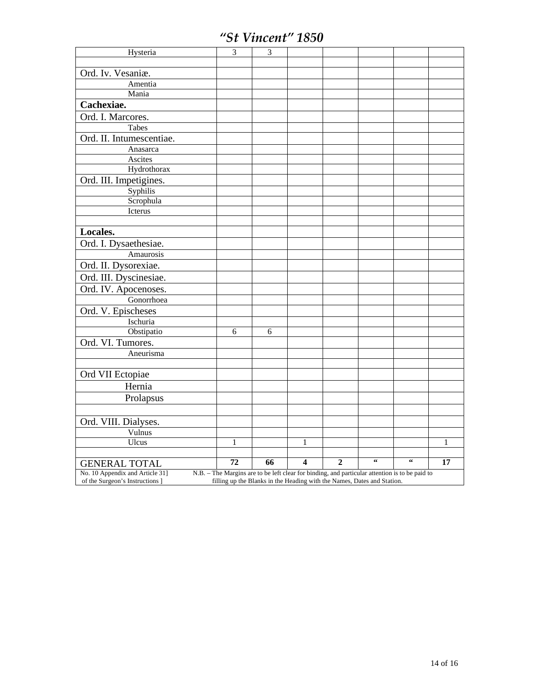| Ord. Iv. Vesaniæ.<br>Amentia<br>Mania<br>Cachexiae.<br>Ord. I. Marcores.<br>Tabes<br>Ord. II. Intumescentiae.<br>Anasarca<br>Ascites<br>Hydrothorax<br>Ord. III. Impetigines.<br>Syphilis<br>Scrophula<br>Icterus<br>Locales.<br>Ord. I. Dysaethesiae.<br>Amaurosis<br>Ord. II. Dysorexiae.<br>Ord. III. Dyscinesiae.<br>Ord. IV. Apocenoses.<br>Gonorrhoea<br>Ord. V. Epischeses<br>Ischuria<br>Obstipatio<br>6<br>6<br>Ord. VI. Tumores.<br>Aneurisma<br>Ord VII Ectopiae<br>Hernia<br>Prolapsus<br>Ord. VIII. Dialyses.<br>Vulnus<br>Ulcus<br>1<br>$\mathbf{1}$<br>1<br>$\overline{\mathbf{66}}$<br>$\zeta\,\zeta$<br>4<br>72<br>66<br>$\overline{2}$<br>17<br><b>GENERAL TOTAL</b><br>No. 10 Appendix and Article 31]<br>N.B. - The Margins are to be left clear for binding, and particular attention is to be paid to | Hysteria                        | $\overline{3}$ | $\overline{3}$ |  |  |  |
|-----------------------------------------------------------------------------------------------------------------------------------------------------------------------------------------------------------------------------------------------------------------------------------------------------------------------------------------------------------------------------------------------------------------------------------------------------------------------------------------------------------------------------------------------------------------------------------------------------------------------------------------------------------------------------------------------------------------------------------------------------------------------------------------------------------------------------|---------------------------------|----------------|----------------|--|--|--|
|                                                                                                                                                                                                                                                                                                                                                                                                                                                                                                                                                                                                                                                                                                                                                                                                                             |                                 |                |                |  |  |  |
|                                                                                                                                                                                                                                                                                                                                                                                                                                                                                                                                                                                                                                                                                                                                                                                                                             |                                 |                |                |  |  |  |
|                                                                                                                                                                                                                                                                                                                                                                                                                                                                                                                                                                                                                                                                                                                                                                                                                             |                                 |                |                |  |  |  |
|                                                                                                                                                                                                                                                                                                                                                                                                                                                                                                                                                                                                                                                                                                                                                                                                                             |                                 |                |                |  |  |  |
|                                                                                                                                                                                                                                                                                                                                                                                                                                                                                                                                                                                                                                                                                                                                                                                                                             |                                 |                |                |  |  |  |
|                                                                                                                                                                                                                                                                                                                                                                                                                                                                                                                                                                                                                                                                                                                                                                                                                             |                                 |                |                |  |  |  |
|                                                                                                                                                                                                                                                                                                                                                                                                                                                                                                                                                                                                                                                                                                                                                                                                                             |                                 |                |                |  |  |  |
|                                                                                                                                                                                                                                                                                                                                                                                                                                                                                                                                                                                                                                                                                                                                                                                                                             |                                 |                |                |  |  |  |
|                                                                                                                                                                                                                                                                                                                                                                                                                                                                                                                                                                                                                                                                                                                                                                                                                             |                                 |                |                |  |  |  |
|                                                                                                                                                                                                                                                                                                                                                                                                                                                                                                                                                                                                                                                                                                                                                                                                                             |                                 |                |                |  |  |  |
|                                                                                                                                                                                                                                                                                                                                                                                                                                                                                                                                                                                                                                                                                                                                                                                                                             |                                 |                |                |  |  |  |
|                                                                                                                                                                                                                                                                                                                                                                                                                                                                                                                                                                                                                                                                                                                                                                                                                             |                                 |                |                |  |  |  |
|                                                                                                                                                                                                                                                                                                                                                                                                                                                                                                                                                                                                                                                                                                                                                                                                                             |                                 |                |                |  |  |  |
|                                                                                                                                                                                                                                                                                                                                                                                                                                                                                                                                                                                                                                                                                                                                                                                                                             |                                 |                |                |  |  |  |
|                                                                                                                                                                                                                                                                                                                                                                                                                                                                                                                                                                                                                                                                                                                                                                                                                             |                                 |                |                |  |  |  |
|                                                                                                                                                                                                                                                                                                                                                                                                                                                                                                                                                                                                                                                                                                                                                                                                                             |                                 |                |                |  |  |  |
|                                                                                                                                                                                                                                                                                                                                                                                                                                                                                                                                                                                                                                                                                                                                                                                                                             |                                 |                |                |  |  |  |
|                                                                                                                                                                                                                                                                                                                                                                                                                                                                                                                                                                                                                                                                                                                                                                                                                             |                                 |                |                |  |  |  |
|                                                                                                                                                                                                                                                                                                                                                                                                                                                                                                                                                                                                                                                                                                                                                                                                                             |                                 |                |                |  |  |  |
|                                                                                                                                                                                                                                                                                                                                                                                                                                                                                                                                                                                                                                                                                                                                                                                                                             |                                 |                |                |  |  |  |
|                                                                                                                                                                                                                                                                                                                                                                                                                                                                                                                                                                                                                                                                                                                                                                                                                             |                                 |                |                |  |  |  |
|                                                                                                                                                                                                                                                                                                                                                                                                                                                                                                                                                                                                                                                                                                                                                                                                                             |                                 |                |                |  |  |  |
|                                                                                                                                                                                                                                                                                                                                                                                                                                                                                                                                                                                                                                                                                                                                                                                                                             |                                 |                |                |  |  |  |
|                                                                                                                                                                                                                                                                                                                                                                                                                                                                                                                                                                                                                                                                                                                                                                                                                             |                                 |                |                |  |  |  |
|                                                                                                                                                                                                                                                                                                                                                                                                                                                                                                                                                                                                                                                                                                                                                                                                                             |                                 |                |                |  |  |  |
|                                                                                                                                                                                                                                                                                                                                                                                                                                                                                                                                                                                                                                                                                                                                                                                                                             |                                 |                |                |  |  |  |
|                                                                                                                                                                                                                                                                                                                                                                                                                                                                                                                                                                                                                                                                                                                                                                                                                             |                                 |                |                |  |  |  |
|                                                                                                                                                                                                                                                                                                                                                                                                                                                                                                                                                                                                                                                                                                                                                                                                                             |                                 |                |                |  |  |  |
|                                                                                                                                                                                                                                                                                                                                                                                                                                                                                                                                                                                                                                                                                                                                                                                                                             |                                 |                |                |  |  |  |
|                                                                                                                                                                                                                                                                                                                                                                                                                                                                                                                                                                                                                                                                                                                                                                                                                             |                                 |                |                |  |  |  |
|                                                                                                                                                                                                                                                                                                                                                                                                                                                                                                                                                                                                                                                                                                                                                                                                                             |                                 |                |                |  |  |  |
|                                                                                                                                                                                                                                                                                                                                                                                                                                                                                                                                                                                                                                                                                                                                                                                                                             |                                 |                |                |  |  |  |
|                                                                                                                                                                                                                                                                                                                                                                                                                                                                                                                                                                                                                                                                                                                                                                                                                             |                                 |                |                |  |  |  |
|                                                                                                                                                                                                                                                                                                                                                                                                                                                                                                                                                                                                                                                                                                                                                                                                                             |                                 |                |                |  |  |  |
|                                                                                                                                                                                                                                                                                                                                                                                                                                                                                                                                                                                                                                                                                                                                                                                                                             |                                 |                |                |  |  |  |
|                                                                                                                                                                                                                                                                                                                                                                                                                                                                                                                                                                                                                                                                                                                                                                                                                             |                                 |                |                |  |  |  |
|                                                                                                                                                                                                                                                                                                                                                                                                                                                                                                                                                                                                                                                                                                                                                                                                                             |                                 |                |                |  |  |  |
|                                                                                                                                                                                                                                                                                                                                                                                                                                                                                                                                                                                                                                                                                                                                                                                                                             |                                 |                |                |  |  |  |
| filling up the Blanks in the Heading with the Names, Dates and Station.                                                                                                                                                                                                                                                                                                                                                                                                                                                                                                                                                                                                                                                                                                                                                     | of the Surgeon's Instructions ] |                |                |  |  |  |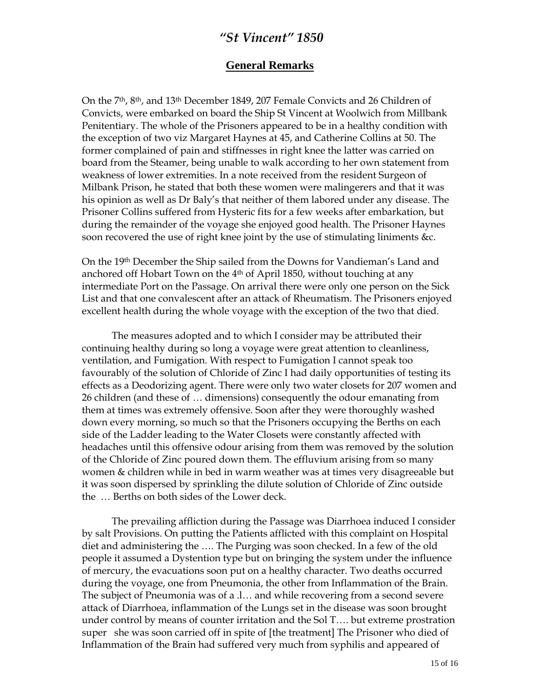#### **General Remarks**

On the 7th, 8th, and 13th December 1849, 207 Female Convicts and 26 Children of Convicts, were embarked on board the Ship St Vincent at Woolwich from Millbank Penitentiary. The whole of the Prisoners appeared to be in a healthy condition with the exception of two viz Margaret Haynes at 45, and Catherine Collins at 50. The former complained of pain and stiffnesses in right knee the latter was carried on board from the Steamer, being unable to walk according to her own statement from weakness of lower extremities. In a note received from the resident Surgeon of Milbank Prison, he stated that both these women were malingerers and that it was his opinion as well as Dr Baly's that neither of them labored under any disease. The Prisoner Collins suffered from Hysteric fits for a few weeks after embarkation, but during the remainder of the voyage she enjoyed good health. The Prisoner Haynes soon recovered the use of right knee joint by the use of stimulating liniments &c.

On the 19th December the Ship sailed from the Downs for Vandieman's Land and anchored off Hobart Town on the 4<sup>th</sup> of April 1850, without touching at any intermediate Port on the Passage. On arrival there were only one person on the Sick List and that one convalescent after an attack of Rheumatism. The Prisoners enjoyed excellent health during the whole voyage with the exception of the two that died.

 The measures adopted and to which I consider may be attributed their continuing healthy during so long a voyage were great attention to cleanliness, ventilation, and Fumigation. With respect to Fumigation I cannot speak too favourably of the solution of Chloride of Zinc I had daily opportunities of testing its effects as a Deodorizing agent. There were only two water closets for 207 women and 26 children (and these of … dimensions) consequently the odour emanating from them at times was extremely offensive. Soon after they were thoroughly washed down every morning, so much so that the Prisoners occupying the Berths on each side of the Ladder leading to the Water Closets were constantly affected with headaches until this offensive odour arising from them was removed by the solution of the Chloride of Zinc poured down them. The effluvium arising from so many women & children while in bed in warm weather was at times very disagreeable but it was soon dispersed by sprinkling the dilute solution of Chloride of Zinc outside the … Berths on both sides of the Lower deck.

The prevailing affliction during the Passage was Diarrhoea induced I consider by salt Provisions. On putting the Patients afflicted with this complaint on Hospital diet and administering the …. The Purging was soon checked. In a few of the old people it assumed a Dystention type but on bringing the system under the influence of mercury, the evacuations soon put on a healthy character. Two deaths occurred during the voyage, one from Pneumonia, the other from Inflammation of the Brain. The subject of Pneumonia was of a .l… and while recovering from a second severe attack of Diarrhoea, inflammation of the Lungs set in the disease was soon brought under control by means of counter irritation and the Sol T…. but extreme prostration super she was soon carried off in spite of [the treatment] The Prisoner who died of Inflammation of the Brain had suffered very much from syphilis and appeared of